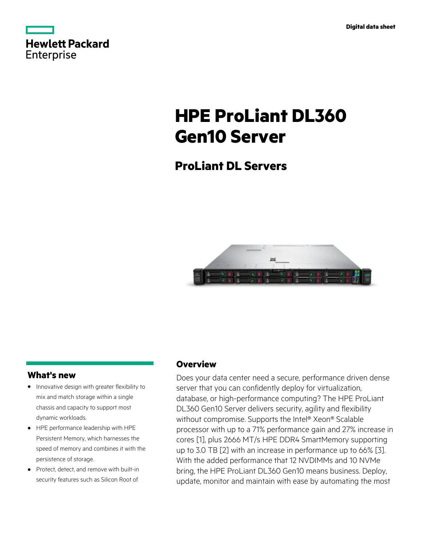|            | <b>Hewlett Packard</b> |
|------------|------------------------|
| Enterprise |                        |

# **HPE ProLiant DL360 Gen10 Server**

# **ProLiant DL Servers**



# **What's new**

- Innovative design with greater flexibility to **·** mix and match storage within a single chassis and capacity to support most dynamic workloads.
- HPE performance leadership with HPE **·** Persistent Memory, which harnesses the speed of memory and combines it with the persistence of storage.
- Protect, detect, and remove with built-in **·** security features such as Silicon Root of

# **Overview**

Does your data center need a secure, performance driven dense server that you can confidently deploy for virtualization, database, or high-performance computing? The HPE ProLiant DL360 Gen10 Server delivers security, agility and flexibility without compromise. Supports the Intel® Xeon® Scalable processor with up to a 71% performance gain and 27% increase in cores [1], plus 2666 MT/s HPE DDR4 SmartMemory supporting up to 3.0 TB [2] with an increase in performance up to 66% [3]. With the added performance that 12 NVDIMMs and 10 NVMe bring, the HPE ProLiant DL360 Gen10 means business. Deploy, update, monitor and maintain with ease by automating the most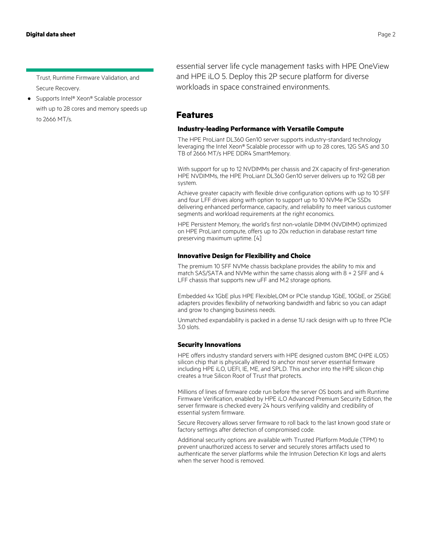Trust, Runtime Firmware Validation, and Secure Recovery.

● Supports Intel<sup>®</sup> Xeon® Scalable processor with up to 28 cores and memory speeds up to 2666 MT/s.

essential server life cycle management tasks with HPE OneView and HPE iLO 5. Deploy this 2P secure platform for diverse workloads in space constrained environments.

# **Features**

## **Industry-leading Performance with Versatile Compute**

The HPE ProLiant DL360 Gen10 server supports industry-standard technology leveraging the Intel Xeon® Scalable processor with up to 28 cores, 12G SAS and 3.0 TB of 2666 MT/s HPE DDR4 SmartMemory.

With support for up to 12 NVDIMMs per chassis and 2X capacity of first-generation HPE NVDIMMs, the HPE ProLiant DL360 Gen10 server delivers up to 192 GB per system.

Achieve greater capacity with flexible drive configuration options with up to 10 SFF and four LFF drives along with option to support up to 10 NVMe PCIe SSDs delivering enhanced performance, capacity, and reliability to meet various customer segments and workload requirements at the right economics.

HPE Persistent Memory, the world's first non-volatile DIMM (NVDIMM) optimized on HPE ProLiant compute, offers up to 20x reduction in database restart time preserving maximum uptime. [4]

#### **Innovative Design for Flexibility and Choice**

The premium 10 SFF NVMe chassis backplane provides the ability to mix and match SAS/SATA and NVMe within the same chassis along with 8 + 2 SFF and 4 LFF chassis that supports new uFF and M.2 storage options.

Embedded 4x 1GbE plus HPE FlexibleLOM or PCIe standup 1GbE, 10GbE, or 25GbE adapters provides flexibility of networking bandwidth and fabric so you can adapt and grow to changing business needs.

Unmatched expandability is packed in a dense 1U rack design with up to three PCIe 3.0 slots.

## **Security Innovations**

HPE offers industry standard servers with HPE designed custom BMC (HPE iLO5) silicon chip that is physically altered to anchor most server essential firmware including HPE iLO, UEFI, IE, ME, and SPLD. This anchor into the HPE silicon chip creates a true Silicon Root of Trust that protects.

Millions of lines of firmware code run before the server OS boots and with Runtime Firmware Verification, enabled by HPE iLO Advanced Premium Security Edition, the server firmware is checked every 24 hours verifying validity and credibility of essential system firmware.

Secure Recovery allows server firmware to roll back to the last known good state or factory settings after detection of compromised code.

Additional security options are available with Trusted Platform Module (TPM) to prevent unauthorized access to server and securely stores artifacts used to authenticate the server platforms while the Intrusion Detection Kit logs and alerts when the server hood is removed.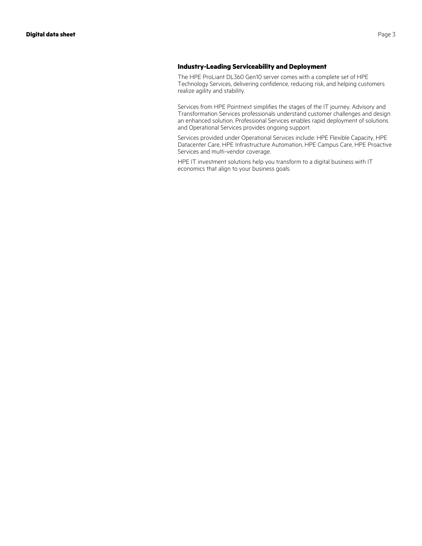# **Industry-Leading Serviceability and Deployment**

The HPE ProLiant DL360 Gen10 server comes with a complete set of HPE Technology Services, delivering confidence, reducing risk, and helping customers realize agility and stability.

Services from HPE Pointnext simplifies the stages of the IT journey. Advisory and Transformation Services professionals understand customer challenges and design an enhanced solution. Professional Services enables rapid deployment of solutions and Operational Services provides ongoing support.

Services provided under Operational Services include: HPE Flexible Capacity, HPE Datacenter Care, HPE Infrastructure Automation, HPE Campus Care, HPE Proactive Services and multi-vendor coverage.

HPE IT investment solutions help you transform to a digital business with IT economics that align to your business goals.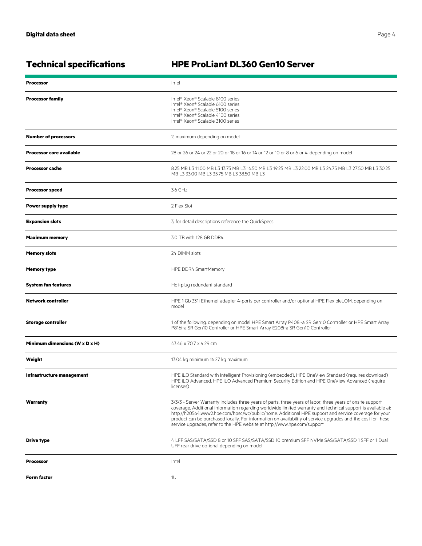# **Technical specifications HPE ProLiant DL360 Gen10 Server**

| <b>Processor</b>                | Intel                                                                                                                                                                                                                                                                                                                                                                                                                                                                                                                          |  |
|---------------------------------|--------------------------------------------------------------------------------------------------------------------------------------------------------------------------------------------------------------------------------------------------------------------------------------------------------------------------------------------------------------------------------------------------------------------------------------------------------------------------------------------------------------------------------|--|
| <b>Processor family</b>         | Intel® Xeon® Scalable 8100 series<br>Intel® Xeon® Scalable 6100 series<br>Intel <sup>®</sup> Xeon® Scalable 5100 series<br>Intel® Xeon® Scalable 4100 series<br>Intel® Xeon® Scalable 3100 series                                                                                                                                                                                                                                                                                                                              |  |
| <b>Number of processors</b>     | 2, maximum depending on model                                                                                                                                                                                                                                                                                                                                                                                                                                                                                                  |  |
| <b>Processor core available</b> | 28 or 26 or 24 or 22 or 20 or 18 or 16 or 14 or 12 or 10 or 8 or 6 or 4, depending on model                                                                                                                                                                                                                                                                                                                                                                                                                                    |  |
| <b>Processor cache</b>          | 8.25 MB L3 11.00 MB L3 13.75 MB L3 16.50 MB L3 19.25 MB L3 22.00 MB L3 24.75 MB L3 27.50 MB L3 30.25<br>MB L3 33.00 MB L3 35.75 MB L3 38.50 MB L3                                                                                                                                                                                                                                                                                                                                                                              |  |
| <b>Processor speed</b>          | 3.6 GHz                                                                                                                                                                                                                                                                                                                                                                                                                                                                                                                        |  |
| Power supply type               | 2 Flex Slot                                                                                                                                                                                                                                                                                                                                                                                                                                                                                                                    |  |
| <b>Expansion slots</b>          | 3, for detail descriptions reference the QuickSpecs                                                                                                                                                                                                                                                                                                                                                                                                                                                                            |  |
| <b>Maximum memory</b>           | 3.0 TB with 128 GB DDR4                                                                                                                                                                                                                                                                                                                                                                                                                                                                                                        |  |
| <b>Memory slots</b>             | 24 DIMM slots                                                                                                                                                                                                                                                                                                                                                                                                                                                                                                                  |  |
| <b>Memory type</b>              | HPE DDR4 SmartMemory                                                                                                                                                                                                                                                                                                                                                                                                                                                                                                           |  |
| <b>System fan features</b>      | Hot-plug redundant standard                                                                                                                                                                                                                                                                                                                                                                                                                                                                                                    |  |
| <b>Network controller</b>       | HPE 1 Gb 331i Ethernet adapter 4-ports per controller and/or optional HPE FlexibleLOM, depending on<br>model                                                                                                                                                                                                                                                                                                                                                                                                                   |  |
| <b>Storage controller</b>       | 1 of the following, depending on model HPE Smart Array P408i-a SR Gen10 Controller or HPE Smart Array<br>P816i-a SR Gen10 Controller or HPE Smart Array E208i-a SR Gen10 Controller                                                                                                                                                                                                                                                                                                                                            |  |
| Minimum dimensions (W x D x H)  | 43.46 x 70.7 x 4.29 cm                                                                                                                                                                                                                                                                                                                                                                                                                                                                                                         |  |
| Weight                          | 13.04 kg minimum 16.27 kg maximum                                                                                                                                                                                                                                                                                                                                                                                                                                                                                              |  |
| Infrastructure management       | HPE iLO Standard with Intelligent Provisioning (embedded), HPE OneView Standard (requires download)<br>HPE iLO Advanced, HPE iLO Advanced Premium Security Edition and HPE OneView Advanced (require<br>licenses)                                                                                                                                                                                                                                                                                                              |  |
| Warranty                        | 3/3/3 - Server Warranty includes three years of parts, three years of labor, three years of onsite support<br>coverage. Additional information regarding worldwide limited warranty and technical support is available at:<br>http://h20564.www2.hpe.com/hpsc/wc/public/home. Additional HPE support and service coverage for your<br>product can be purchased locally. For information on availability of service upgrades and the cost for these<br>service upgrades, refer to the HPE website at http://www.hpe.com/support |  |
| <b>Drive type</b>               | 4 LFF SAS/SATA/SSD 8 or 10 SFF SAS/SATA/SSD 10 premium SFF NVMe SAS/SATA/SSD 1 SFF or 1 Dual<br>UFF rear drive optional depending on model                                                                                                                                                                                                                                                                                                                                                                                     |  |
| <b>Processor</b>                | Intel                                                                                                                                                                                                                                                                                                                                                                                                                                                                                                                          |  |
| Form factor                     | 1U                                                                                                                                                                                                                                                                                                                                                                                                                                                                                                                             |  |